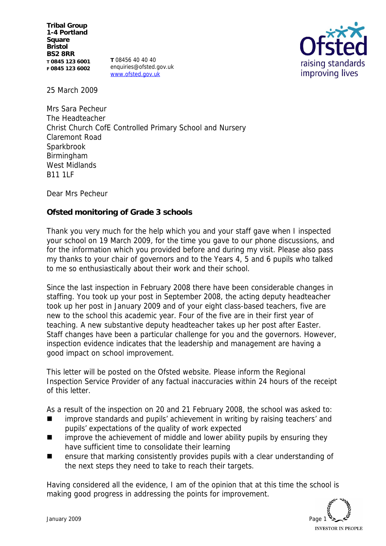**Tribal Group 1-4 Portland Square Bristol BS2 8RR T 0845 123 6001 F 0845 123 6002**

**T** 08456 40 40 40 enquiries@ofsted.gov.uk www.ofsted.gov.uk



25 March 2009

Mrs Sara Pecheur The Headteacher Christ Church CofE Controlled Primary School and Nursery Claremont Road Sparkbrook Birmingham West Midlands B11 1LF

Dear Mrs Pecheur

**Ofsted monitoring of Grade 3 schools** 

Thank you very much for the help which you and your staff gave when I inspected your school on 19 March 2009, for the time you gave to our phone discussions, and for the information which you provided before and during my visit. Please also pass my thanks to your chair of governors and to the Years 4, 5 and 6 pupils who talked to me so enthusiastically about their work and their school.

Since the last inspection in February 2008 there have been considerable changes in staffing. You took up your post in September 2008, the acting deputy headteacher took up her post in January 2009 and of your eight class-based teachers, five are new to the school this academic year. Four of the five are in their first year of teaching. A new substantive deputy headteacher takes up her post after Easter. Staff changes have been a particular challenge for you and the governors. However, inspection evidence indicates that the leadership and management are having a good impact on school improvement.

This letter will be posted on the Ofsted website. Please inform the Regional Inspection Service Provider of any factual inaccuracies within 24 hours of the receipt of this letter.

As a result of the inspection on 20 and 21 February 2008, the school was asked to:

- improve standards and pupils' achievement in writing by raising teachers' and pupils' expectations of the quality of work expected
- $\blacksquare$  improve the achievement of middle and lower ability pupils by ensuring they have sufficient time to consolidate their learning
- ensure that marking consistently provides pupils with a clear understanding of the next steps they need to take to reach their targets.

Having considered all the evidence, I am of the opinion that at this time the school is making good progress in addressing the points for improvement.

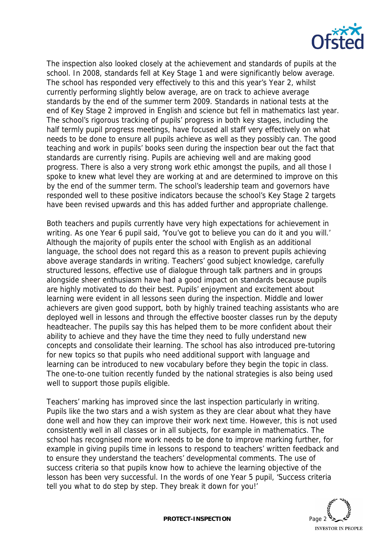

The inspection also looked closely at the achievement and standards of pupils at the school. In 2008, standards fell at Key Stage 1 and were significantly below average. The school has responded very effectively to this and this year's Year 2, whilst currently performing slightly below average, are on track to achieve average standards by the end of the summer term 2009. Standards in national tests at the end of Key Stage 2 improved in English and science but fell in mathematics last year. The school's rigorous tracking of pupils' progress in both key stages, including the half termly pupil progress meetings, have focused all staff very effectively on what needs to be done to ensure all pupils achieve as well as they possibly can. The good teaching and work in pupils' books seen during the inspection bear out the fact that standards are currently rising. Pupils are achieving well and are making good progress. There is also a very strong work ethic amongst the pupils, and all those I spoke to knew what level they are working at and are determined to improve on this by the end of the summer term. The school's leadership team and governors have responded well to these positive indicators because the school's Key Stage 2 targets have been revised upwards and this has added further and appropriate challenge.

Both teachers and pupils currently have very high expectations for achievement in writing. As one Year 6 pupil said, 'You've got to believe you can do it and you will.' Although the majority of pupils enter the school with English as an additional language, the school does not regard this as a reason to prevent pupils achieving above average standards in writing. Teachers' good subject knowledge, carefully structured lessons, effective use of dialogue through talk partners and in groups alongside sheer enthusiasm have had a good impact on standards because pupils are highly motivated to do their best. Pupils' enjoyment and excitement about learning were evident in all lessons seen during the inspection. Middle and lower achievers are given good support, both by highly trained teaching assistants who are deployed well in lessons and through the effective booster classes run by the deputy headteacher. The pupils say this has helped them to be more confident about their ability to achieve and they have the time they need to fully understand new concepts and consolidate their learning. The school has also introduced pre-tutoring for new topics so that pupils who need additional support with language and learning can be introduced to new vocabulary before they begin the topic in class. The one-to-one tuition recently funded by the national strategies is also being used well to support those pupils eligible.

Teachers' marking has improved since the last inspection particularly in writing. Pupils like the two stars and a wish system as they are clear about what they have done well and how they can improve their work next time. However, this is not used consistently well in all classes or in all subjects, for example in mathematics. The school has recognised more work needs to be done to improve marking further, for example in giving pupils time in lessons to respond to teachers' written feedback and to ensure they understand the teachers' developmental comments. The use of success criteria so that pupils know how to achieve the learning objective of the lesson has been very successful. In the words of one Year 5 pupil, 'Success criteria tell you what to do step by step. They break it down for you!'